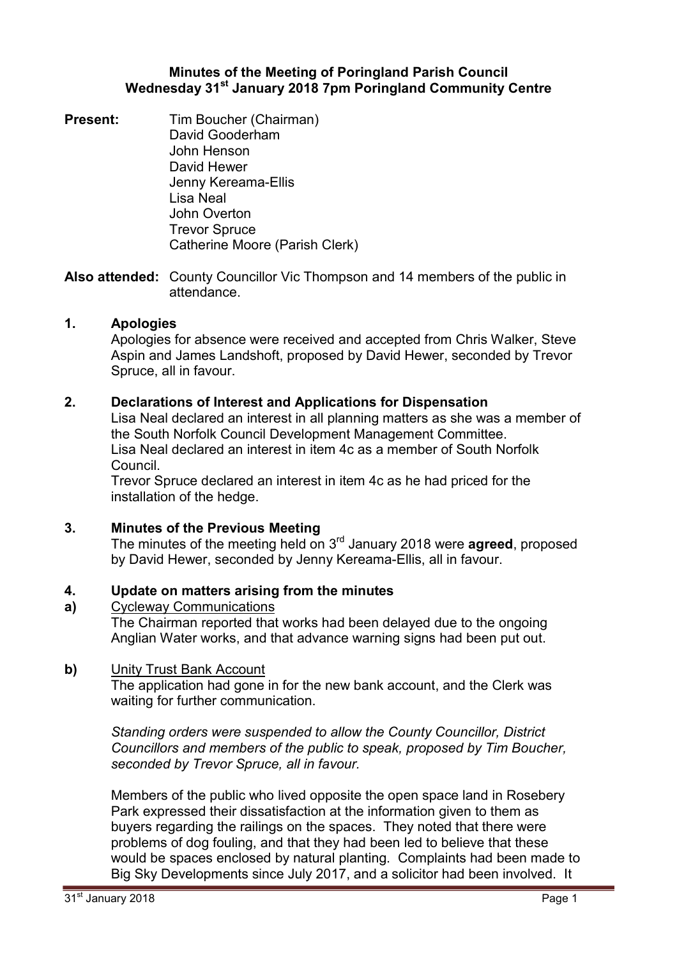#### **Minutes of the Meeting of Poringland Parish Council Wednesday 31st January 2018 7pm Poringland Community Centre**

**Present:** Tim Boucher (Chairman) David Gooderham John Henson David Hewer Jenny Kereama-Ellis Lisa Neal John Overton Trevor Spruce Catherine Moore (Parish Clerk)

**Also attended:** County Councillor Vic Thompson and 14 members of the public in attendance.

### **1. Apologies**

Apologies for absence were received and accepted from Chris Walker, Steve Aspin and James Landshoft, proposed by David Hewer, seconded by Trevor Spruce, all in favour.

### **2. Declarations of Interest and Applications for Dispensation**

Lisa Neal declared an interest in all planning matters as she was a member of the South Norfolk Council Development Management Committee. Lisa Neal declared an interest in item 4c as a member of South Norfolk Council.

Trevor Spruce declared an interest in item 4c as he had priced for the installation of the hedge.

# **3. Minutes of the Previous Meeting**

The minutes of the meeting held on 3rd January 2018 were **agreed**, proposed by David Hewer, seconded by Jenny Kereama-Ellis, all in favour.

#### **4. Update on matters arising from the minutes**

**a)**  Cycleway Communications

The Chairman reported that works had been delayed due to the ongoing Anglian Water works, and that advance warning signs had been put out.

#### **b)** Unity Trust Bank Account

The application had gone in for the new bank account, and the Clerk was waiting for further communication.

*Standing orders were suspended to allow the County Councillor, District Councillors and members of the public to speak, proposed by Tim Boucher, seconded by Trevor Spruce, all in favour.* 

Members of the public who lived opposite the open space land in Rosebery Park expressed their dissatisfaction at the information given to them as buyers regarding the railings on the spaces. They noted that there were problems of dog fouling, and that they had been led to believe that these would be spaces enclosed by natural planting. Complaints had been made to Big Sky Developments since July 2017, and a solicitor had been involved. It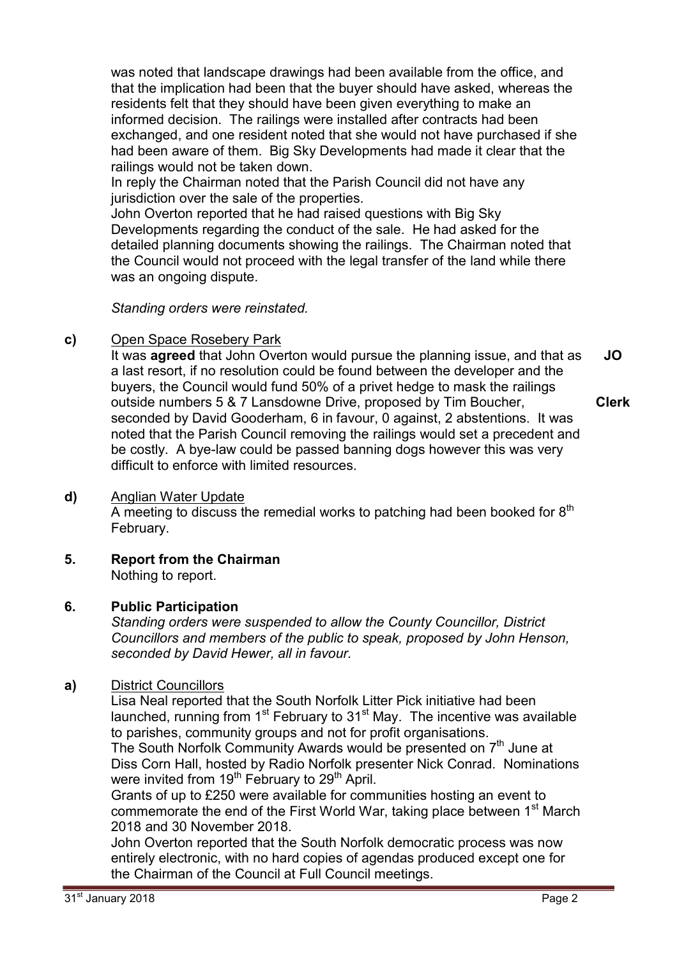was noted that landscape drawings had been available from the office, and that the implication had been that the buyer should have asked, whereas the residents felt that they should have been given everything to make an informed decision. The railings were installed after contracts had been exchanged, and one resident noted that she would not have purchased if she had been aware of them. Big Sky Developments had made it clear that the railings would not be taken down.

In reply the Chairman noted that the Parish Council did not have any jurisdiction over the sale of the properties.

John Overton reported that he had raised questions with Big Sky Developments regarding the conduct of the sale. He had asked for the detailed planning documents showing the railings. The Chairman noted that the Council would not proceed with the legal transfer of the land while there was an ongoing dispute.

*Standing orders were reinstated.* 

# **c)** Open Space Rosebery Park

It was **agreed** that John Overton would pursue the planning issue, and that as a last resort, if no resolution could be found between the developer and the buyers, the Council would fund 50% of a privet hedge to mask the railings outside numbers 5 & 7 Lansdowne Drive, proposed by Tim Boucher, seconded by David Gooderham, 6 in favour, 0 against, 2 abstentions. It was noted that the Parish Council removing the railings would set a precedent and be costly. A bye-law could be passed banning dogs however this was very difficult to enforce with limited resources. **JO Clerk**

#### **d)** Anglian Water Update

A meeting to discuss the remedial works to patching had been booked for  $8<sup>th</sup>$ February.

**5. Report from the Chairman**

Nothing to report.

# **6. Public Participation**

*Standing orders were suspended to allow the County Councillor, District Councillors and members of the public to speak, proposed by John Henson, seconded by David Hewer, all in favour.* 

# **a)** District Councillors

Lisa Neal reported that the South Norfolk Litter Pick initiative had been launched, running from  $1<sup>st</sup>$  February to  $31<sup>st</sup>$  May. The incentive was available to parishes, community groups and not for profit organisations.

The South Norfolk Community Awards would be presented on 7<sup>th</sup> June at Diss Corn Hall, hosted by Radio Norfolk presenter Nick Conrad. Nominations were invited from 19<sup>th</sup> February to 29<sup>th</sup> April.

Grants of up to £250 were available for communities hosting an event to commemorate the end of the First World War, taking place between  $1<sup>st</sup>$  March 2018 and 30 November 2018.

John Overton reported that the South Norfolk democratic process was now entirely electronic, with no hard copies of agendas produced except one for the Chairman of the Council at Full Council meetings.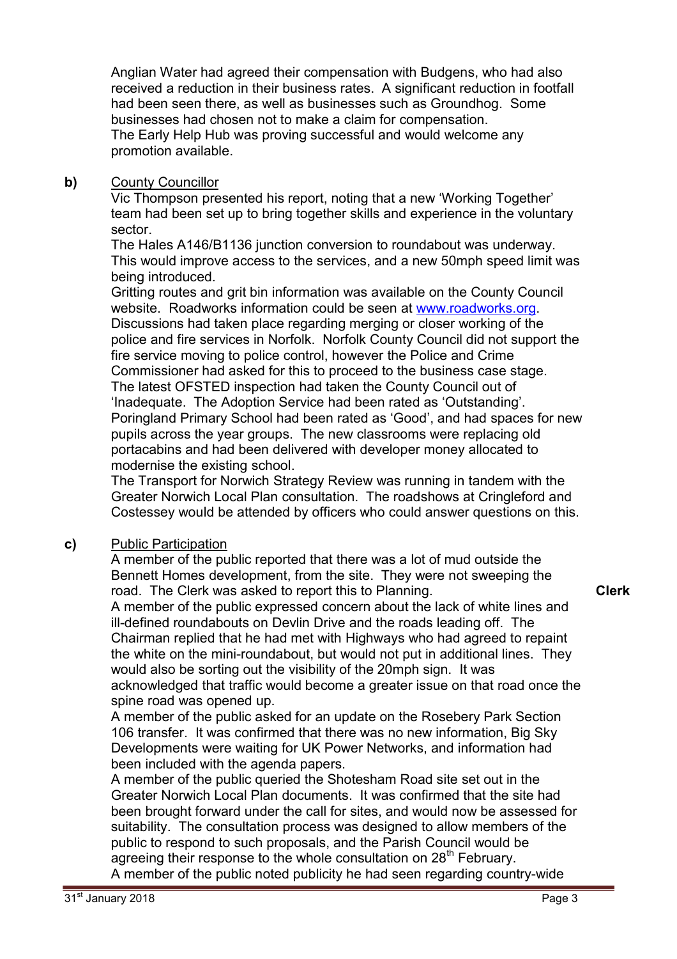Anglian Water had agreed their compensation with Budgens, who had also received a reduction in their business rates. A significant reduction in footfall had been seen there, as well as businesses such as Groundhog. Some businesses had chosen not to make a claim for compensation. The Early Help Hub was proving successful and would welcome any promotion available.

### **b)** County Councillor

Vic Thompson presented his report, noting that a new 'Working Together' team had been set up to bring together skills and experience in the voluntary sector.

The Hales A146/B1136 junction conversion to roundabout was underway. This would improve access to the services, and a new 50mph speed limit was being introduced.

Gritting routes and grit bin information was available on the County Council website. Roadworks information could be seen at www.roadworks.org. Discussions had taken place regarding merging or closer working of the police and fire services in Norfolk. Norfolk County Council did not support the fire service moving to police control, however the Police and Crime Commissioner had asked for this to proceed to the business case stage. The latest OFSTED inspection had taken the County Council out of 'Inadequate. The Adoption Service had been rated as 'Outstanding'. Poringland Primary School had been rated as 'Good', and had spaces for new pupils across the year groups. The new classrooms were replacing old portacabins and had been delivered with developer money allocated to modernise the existing school.

The Transport for Norwich Strategy Review was running in tandem with the Greater Norwich Local Plan consultation. The roadshows at Cringleford and Costessey would be attended by officers who could answer questions on this.

# **c)** Public Participation

A member of the public reported that there was a lot of mud outside the Bennett Homes development, from the site. They were not sweeping the road. The Clerk was asked to report this to Planning.

A member of the public expressed concern about the lack of white lines and ill-defined roundabouts on Devlin Drive and the roads leading off. The Chairman replied that he had met with Highways who had agreed to repaint the white on the mini-roundabout, but would not put in additional lines. They would also be sorting out the visibility of the 20mph sign. It was acknowledged that traffic would become a greater issue on that road once the spine road was opened up.

A member of the public asked for an update on the Rosebery Park Section 106 transfer. It was confirmed that there was no new information, Big Sky Developments were waiting for UK Power Networks, and information had been included with the agenda papers.

A member of the public queried the Shotesham Road site set out in the Greater Norwich Local Plan documents. It was confirmed that the site had been brought forward under the call for sites, and would now be assessed for suitability. The consultation process was designed to allow members of the public to respond to such proposals, and the Parish Council would be agreeing their response to the whole consultation on  $28<sup>th</sup>$  February. A member of the public noted publicity he had seen regarding country-wide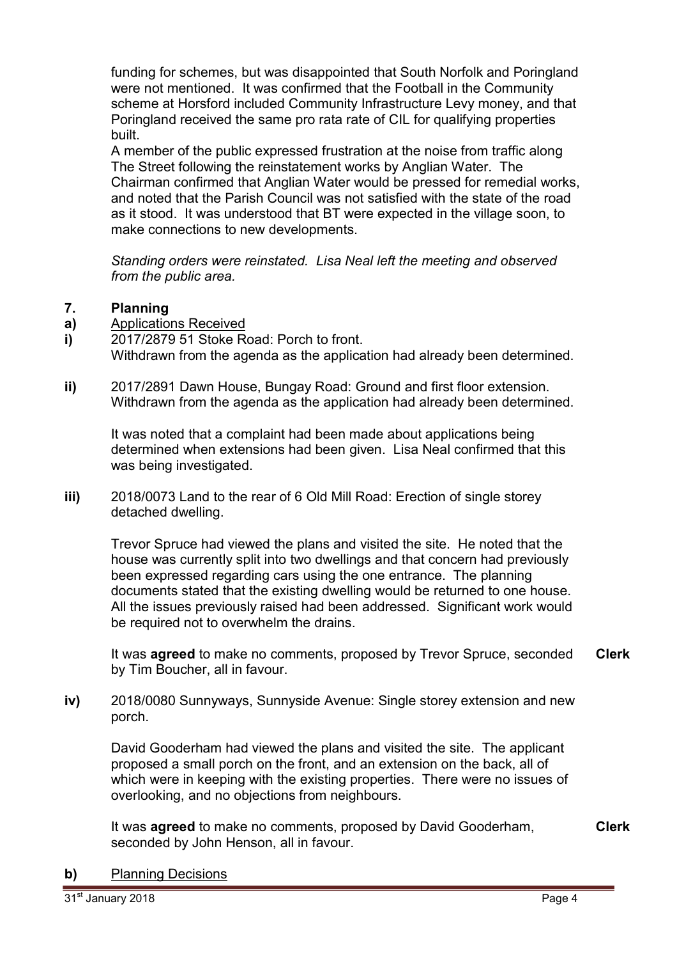funding for schemes, but was disappointed that South Norfolk and Poringland were not mentioned. It was confirmed that the Football in the Community scheme at Horsford included Community Infrastructure Levy money, and that Poringland received the same pro rata rate of CIL for qualifying properties built.

A member of the public expressed frustration at the noise from traffic along The Street following the reinstatement works by Anglian Water. The Chairman confirmed that Anglian Water would be pressed for remedial works, and noted that the Parish Council was not satisfied with the state of the road as it stood. It was understood that BT were expected in the village soon, to make connections to new developments.

*Standing orders were reinstated. Lisa Neal left the meeting and observed from the public area.* 

#### **7. Planning**

- **a)**  Applications Received
- **i)**  2017/2879 51 Stoke Road: Porch to front. Withdrawn from the agenda as the application had already been determined.
- **ii)** 2017/2891 Dawn House, Bungay Road: Ground and first floor extension. Withdrawn from the agenda as the application had already been determined.

It was noted that a complaint had been made about applications being determined when extensions had been given. Lisa Neal confirmed that this was being investigated.

**iii)** 2018/0073 Land to the rear of 6 Old Mill Road: Erection of single storey detached dwelling.

Trevor Spruce had viewed the plans and visited the site. He noted that the house was currently split into two dwellings and that concern had previously been expressed regarding cars using the one entrance. The planning documents stated that the existing dwelling would be returned to one house. All the issues previously raised had been addressed. Significant work would be required not to overwhelm the drains.

It was **agreed** to make no comments, proposed by Trevor Spruce, seconded by Tim Boucher, all in favour. **Clerk**

**iv)** 2018/0080 Sunnyways, Sunnyside Avenue: Single storey extension and new porch.

David Gooderham had viewed the plans and visited the site. The applicant proposed a small porch on the front, and an extension on the back, all of which were in keeping with the existing properties. There were no issues of overlooking, and no objections from neighbours.

It was **agreed** to make no comments, proposed by David Gooderham, seconded by John Henson, all in favour.

**Clerk**

**b)** Planning Decisions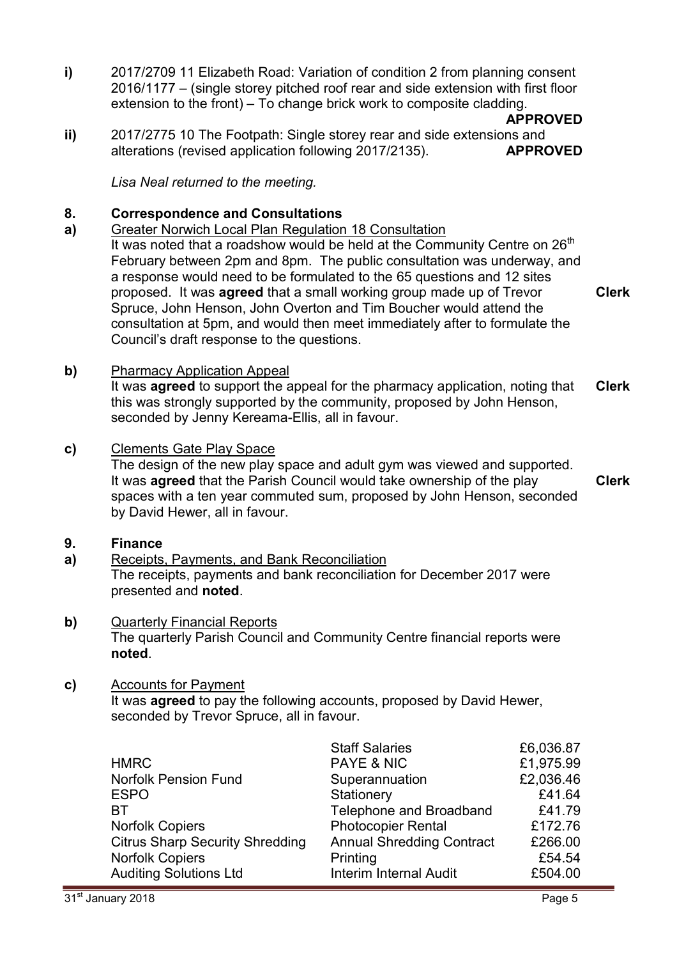**i)** 2017/2709 11 Elizabeth Road: Variation of condition 2 from planning consent 2016/1177 – (single storey pitched roof rear and side extension with first floor extension to the front) – To change brick work to composite cladding.

**APPROVED**

**ii)**  2017/2775 10 The Footpath: Single storey rear and side extensions and alterations (revised application following 2017/2135). **APPROVED**

*Lisa Neal returned to the meeting.* 

#### **8. Correspondence and Consultations**

**a)**  Greater Norwich Local Plan Regulation 18 Consultation It was noted that a roadshow would be held at the Community Centre on  $26<sup>th</sup>$ February between 2pm and 8pm. The public consultation was underway, and a response would need to be formulated to the 65 questions and 12 sites proposed. It was **agreed** that a small working group made up of Trevor Spruce, John Henson, John Overton and Tim Boucher would attend the consultation at 5pm, and would then meet immediately after to formulate the Council's draft response to the questions.

**Clerk**

**b)** Pharmacy Application Appeal

It was **agreed** to support the appeal for the pharmacy application, noting that this was strongly supported by the community, proposed by John Henson, seconded by Jenny Kereama-Ellis, all in favour. **Clerk**

**c)** Clements Gate Play Space

The design of the new play space and adult gym was viewed and supported. It was **agreed** that the Parish Council would take ownership of the play spaces with a ten year commuted sum, proposed by John Henson, seconded by David Hewer, all in favour. **Clerk**

- **9. Finance**
- **a)**  Receipts, Payments, and Bank Reconciliation The receipts, payments and bank reconciliation for December 2017 were presented and **noted**.
- **b)** Quarterly Financial Reports The quarterly Parish Council and Community Centre financial reports were **noted**.

# **c)** Accounts for Payment

It was **agreed** to pay the following accounts, proposed by David Hewer, seconded by Trevor Spruce, all in favour.

|                                        | <b>Staff Salaries</b>            | £6,036.87 |
|----------------------------------------|----------------------------------|-----------|
| <b>HMRC</b>                            | <b>PAYE &amp; NIC</b>            | £1,975.99 |
| <b>Norfolk Pension Fund</b>            | Superannuation                   | £2,036.46 |
| <b>ESPO</b>                            | Stationery                       | £41.64    |
| <b>BT</b>                              | Telephone and Broadband          | £41.79    |
| <b>Norfolk Copiers</b>                 | <b>Photocopier Rental</b>        | £172.76   |
| <b>Citrus Sharp Security Shredding</b> | <b>Annual Shredding Contract</b> | £266.00   |
| <b>Norfolk Copiers</b>                 | Printing                         | £54.54    |
| <b>Auditing Solutions Ltd</b>          | <b>Interim Internal Audit</b>    | £504.00   |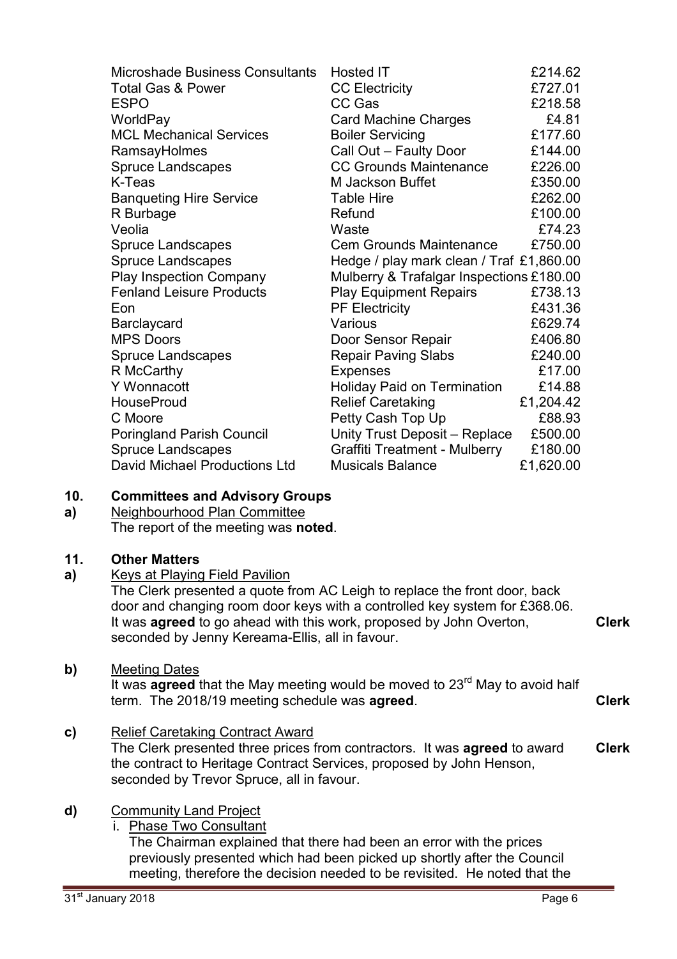| <b>Microshade Business Consultants</b> | Hosted IT                                | £214.62   |
|----------------------------------------|------------------------------------------|-----------|
| <b>Total Gas &amp; Power</b>           | <b>CC Electricity</b>                    | £727.01   |
| <b>ESPO</b>                            | CC Gas                                   | £218.58   |
| WorldPay                               | <b>Card Machine Charges</b>              | £4.81     |
| <b>MCL Mechanical Services</b>         | <b>Boiler Servicing</b>                  | £177.60   |
| RamsayHolmes                           | Call Out - Faulty Door                   | £144.00   |
| <b>Spruce Landscapes</b>               | <b>CC Grounds Maintenance</b>            | £226.00   |
| K-Teas                                 | M Jackson Buffet                         | £350.00   |
| <b>Banqueting Hire Service</b>         | <b>Table Hire</b>                        | £262.00   |
| R Burbage                              | Refund                                   | £100.00   |
| Veolia                                 | Waste                                    | £74.23    |
| <b>Spruce Landscapes</b>               | <b>Cem Grounds Maintenance</b>           | £750.00   |
| <b>Spruce Landscapes</b>               | Hedge / play mark clean / Traf £1,860.00 |           |
| <b>Play Inspection Company</b>         | Mulberry & Trafalgar Inspections £180.00 |           |
| <b>Fenland Leisure Products</b>        | <b>Play Equipment Repairs</b>            | £738.13   |
| Eon                                    | <b>PF Electricity</b>                    | £431.36   |
| Barclaycard                            | Various                                  | £629.74   |
| <b>MPS Doors</b>                       | Door Sensor Repair                       | £406.80   |
| <b>Spruce Landscapes</b>               | <b>Repair Paving Slabs</b>               | £240.00   |
| R McCarthy                             | <b>Expenses</b>                          | £17.00    |
| <b>Y</b> Wonnacott                     | <b>Holiday Paid on Termination</b>       | £14.88    |
| <b>HouseProud</b>                      | <b>Relief Caretaking</b>                 | £1,204.42 |
| C Moore                                | Petty Cash Top Up                        | £88.93    |
| <b>Poringland Parish Council</b>       | Unity Trust Deposit - Replace            | £500.00   |
| <b>Spruce Landscapes</b>               | <b>Graffiti Treatment - Mulberry</b>     | £180.00   |
| David Michael Productions Ltd          | <b>Musicals Balance</b>                  | £1,620.00 |

#### **10. Committees and Advisory Groups**

**a)**  Neighbourhood Plan Committee The report of the meeting was **noted**.

# **11. Other Matters**

# **a)** Keys at Playing Field Pavilion

The Clerk presented a quote from AC Leigh to replace the front door, back door and changing room door keys with a controlled key system for £368.06. It was **agreed** to go ahead with this work, proposed by John Overton, seconded by Jenny Kereama-Ellis, all in favour. **Clerk**

#### **b)** Meeting Dates

It was **agreed** that the May meeting would be moved to 23<sup>rd</sup> May to avoid half term. The 2018/19 meeting schedule was **agreed**. **Clerk**

**c)** Relief Caretaking Contract Award The Clerk presented three prices from contractors. It was **agreed** to award the contract to Heritage Contract Services, proposed by John Henson, seconded by Trevor Spruce, all in favour. **Clerk**

# **d)** Community Land Project

i. Phase Two Consultant

The Chairman explained that there had been an error with the prices previously presented which had been picked up shortly after the Council meeting, therefore the decision needed to be revisited. He noted that the